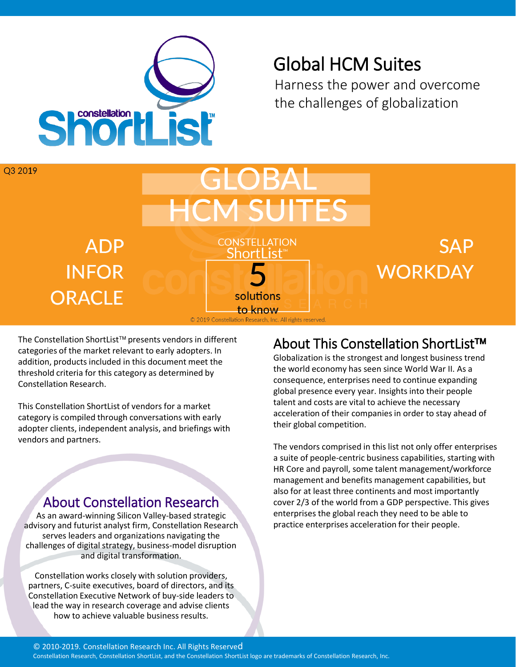

# Global HCM Suites

Harness the power and overcome the challenges of globalization



The Constellation ShortList<sup>™</sup> presents vendors in different categories of the market relevant to early adopters. In addition, products included in this document meet the threshold criteria for this category as determined by Constellation Research.

This Constellation ShortList of vendors for a market category is compiled through conversations with early adopter clients, independent analysis, and briefings with vendors and partners.

#### About Constellation Research

As an award-winning Silicon Valley-based strategic advisory and futurist analyst firm, Constellation Research serves leaders and organizations navigating the challenges of digital strategy, business-model disruption and digital transformation.

Constellation works closely with solution providers, partners, C-suite executives, board of directors, and its Constellation Executive Network of buy-side leaders to lead the way in research coverage and advise clients how to achieve valuable business results.

# About This Constellation ShortList<sup>™</sup>

Globalization is the strongest and longest business trend the world economy has seen since World War II. As a consequence, enterprises need to continue expanding global presence every year. Insights into their people talent and costs are vital to achieve the necessary acceleration of their companies in order to stay ahead of their global competition.

The vendors comprised in this list not only offer enterprises a suite of people-centric business capabilities, starting with HR Core and payroll, some talent management/workforce management and benefits management capabilities, but also for at least three continents and most importantly cover 2/3 of the world from a GDP perspective. This gives enterprises the global reach they need to be able to practice enterprises acceleration for their people.